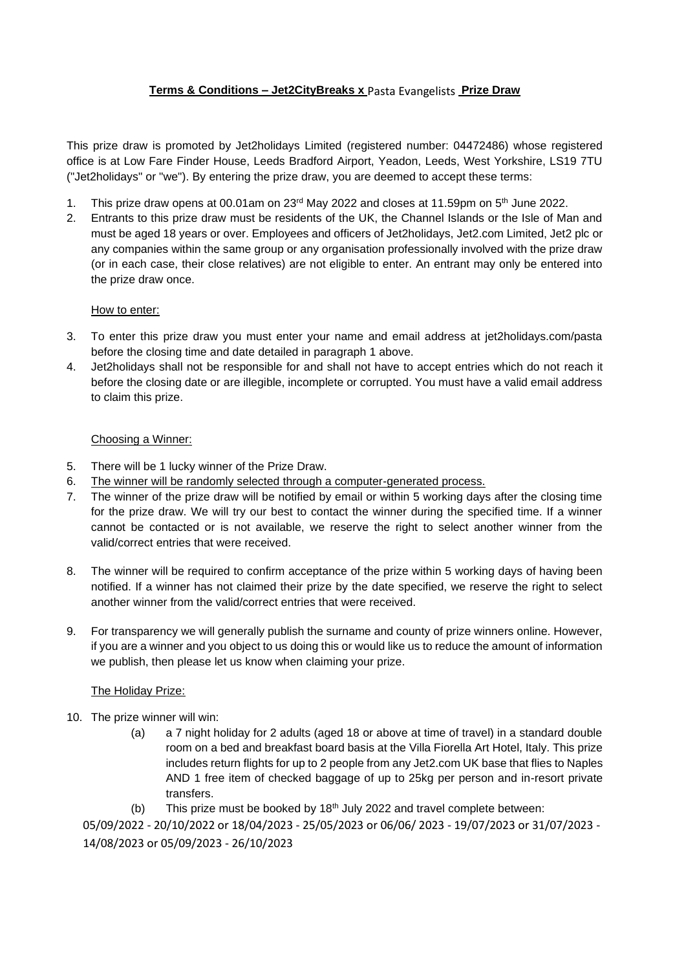# **Terms & Conditions – Jet2CityBreaks x** Pasta Evangelists **Prize Draw**

This prize draw is promoted by Jet2holidays Limited (registered number: 04472486) whose registered office is at Low Fare Finder House, Leeds Bradford Airport, Yeadon, Leeds, West Yorkshire, LS19 7TU ("Jet2holidays" or "we"). By entering the prize draw, you are deemed to accept these terms:

- 1. This prize draw opens at 00.01am on  $23<sup>rd</sup>$  May 2022 and closes at 11.59pm on  $5<sup>th</sup>$  June 2022.
- 2. Entrants to this prize draw must be residents of the UK, the Channel Islands or the Isle of Man and must be aged 18 years or over. Employees and officers of Jet2holidays, Jet2.com Limited, Jet2 plc or any companies within the same group or any organisation professionally involved with the prize draw (or in each case, their close relatives) are not eligible to enter. An entrant may only be entered into the prize draw once.

## How to enter:

- 3. To enter this prize draw you must enter your name and email address at jet2holidays.com/pasta before the closing time and date detailed in paragraph 1 above.
- 4. Jet2holidays shall not be responsible for and shall not have to accept entries which do not reach it before the closing date or are illegible, incomplete or corrupted. You must have a valid email address to claim this prize.

## Choosing a Winner:

- 5. There will be 1 lucky winner of the Prize Draw.
- 6. The winner will be randomly selected through a computer-generated process.
- 7. The winner of the prize draw will be notified by email or within 5 working days after the closing time for the prize draw. We will try our best to contact the winner during the specified time. If a winner cannot be contacted or is not available, we reserve the right to select another winner from the valid/correct entries that were received.
- 8. The winner will be required to confirm acceptance of the prize within 5 working days of having been notified. If a winner has not claimed their prize by the date specified, we reserve the right to select another winner from the valid/correct entries that were received.
- 9. For transparency we will generally publish the surname and county of prize winners online. However, if you are a winner and you object to us doing this or would like us to reduce the amount of information we publish, then please let us know when claiming your prize.

#### The Holiday Prize:

- 10. The prize winner will win:
	- (a) a 7 night holiday for 2 adults (aged 18 or above at time of travel) in a standard double room on a bed and breakfast board basis at the Villa Fiorella Art Hotel, Italy. This prize includes return flights for up to 2 people from any Jet2.com UK base that flies to Naples AND 1 free item of checked baggage of up to 25kg per person and in-resort private transfers.
	- (b) This prize must be booked by  $18<sup>th</sup>$  July 2022 and travel complete between:

05/09/2022 - 20/10/2022 or 18/04/2023 - 25/05/2023 or 06/06/ 2023 - 19/07/2023 or 31/07/2023 - 14/08/2023 or 05/09/2023 - 26/10/2023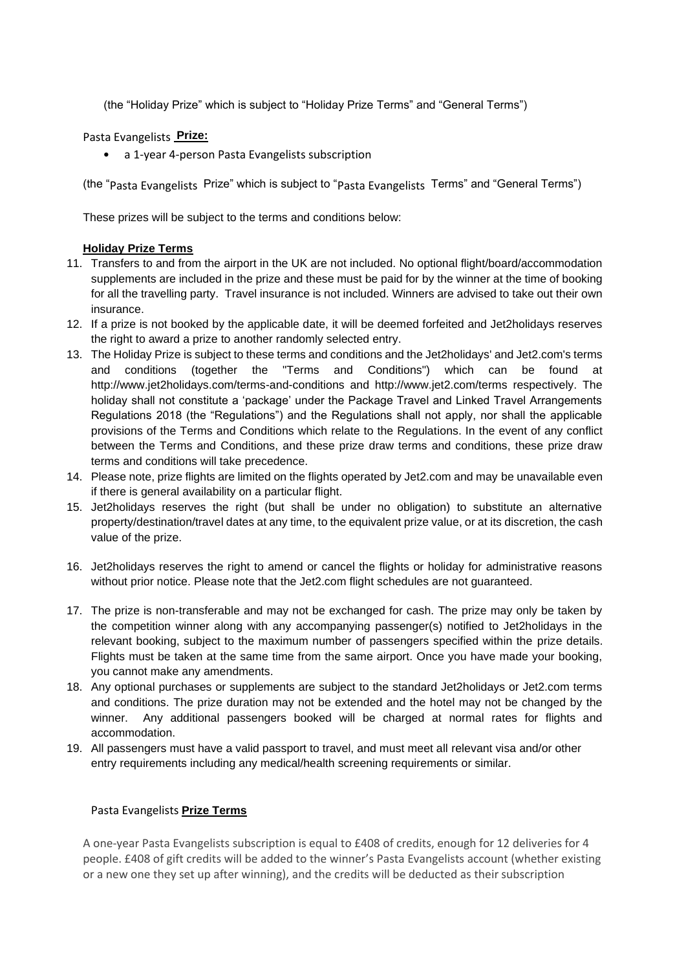(the "Holiday Prize" which is subject to "Holiday Prize Terms" and "General Terms")

Pasta Evangelists **Prize:**

• a 1-year 4-person Pasta Evangelists subscription

(the "Pasta Evangelists Prize" which is subject to "Pasta Evangelists Terms" and "General Terms")

These prizes will be subject to the terms and conditions below:

## **Holiday Prize Terms**

- 11. Transfers to and from the airport in the UK are not included. No optional flight/board/accommodation supplements are included in the prize and these must be paid for by the winner at the time of booking for all the travelling party. Travel insurance is not included. Winners are advised to take out their own insurance.
- 12. If a prize is not booked by the applicable date, it will be deemed forfeited and Jet2holidays reserves the right to award a prize to another randomly selected entry.
- 13. The Holiday Prize is subject to these terms and conditions and the Jet2holidays' and Jet2.com's terms and conditions (together the "Terms and Conditions") which can be found at http://www.jet2holidays.com/terms-and-conditions and http://www.jet2.com/terms respectively. The holiday shall not constitute a 'package' under the Package Travel and Linked Travel Arrangements Regulations 2018 (the "Regulations") and the Regulations shall not apply, nor shall the applicable provisions of the Terms and Conditions which relate to the Regulations. In the event of any conflict between the Terms and Conditions, and these prize draw terms and conditions, these prize draw terms and conditions will take precedence.
- 14. Please note, prize flights are limited on the flights operated by Jet2.com and may be unavailable even if there is general availability on a particular flight.
- 15. Jet2holidays reserves the right (but shall be under no obligation) to substitute an alternative property/destination/travel dates at any time, to the equivalent prize value, or at its discretion, the cash value of the prize.
- 16. Jet2holidays reserves the right to amend or cancel the flights or holiday for administrative reasons without prior notice. Please note that the Jet2.com flight schedules are not guaranteed.
- 17. The prize is non-transferable and may not be exchanged for cash. The prize may only be taken by the competition winner along with any accompanying passenger(s) notified to Jet2holidays in the relevant booking, subject to the maximum number of passengers specified within the prize details. Flights must be taken at the same time from the same airport. Once you have made your booking, you cannot make any amendments.
- 18. Any optional purchases or supplements are subject to the standard Jet2holidays or Jet2.com terms and conditions. The prize duration may not be extended and the hotel may not be changed by the winner. Any additional passengers booked will be charged at normal rates for flights and accommodation.
- 19. All passengers must have a valid passport to travel, and must meet all relevant visa and/or other entry requirements including any medical/health screening requirements or similar.

## Pasta Evangelists **Prize Terms**

A one-year Pasta Evangelists subscription is equal to £408 of credits, enough for 12 deliveries for 4 people. £408 of gift credits will be added to the winner's Pasta Evangelists account (whether existing or a new one they set up after winning), and the credits will be deducted as their subscription